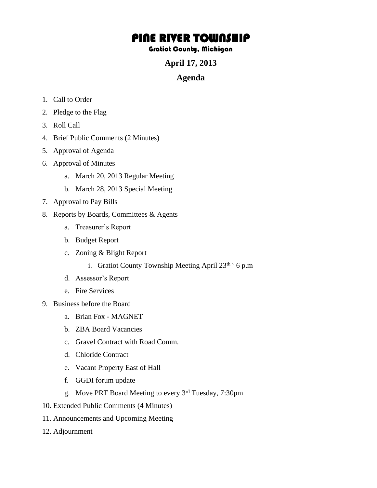## PINE RIVER TOWNSHIP

## Gratiot County, Michigan

**April 17, 2013** 

## **Agenda**

- 1. Call to Order
- 2. Pledge to the Flag
- 3. Roll Call
- 4. Brief Public Comments (2 Minutes)
- 5. Approval of Agenda
- 6. Approval of Minutes
	- a. March 20, 2013 Regular Meeting
	- b. March 28, 2013 Special Meeting
- 7. Approval to Pay Bills
- 8. Reports by Boards, Committees & Agents
	- a. Treasurer's Report
	- b. Budget Report
	- c. Zoning & Blight Report
		- i. Gratiot County Township Meeting April  $23<sup>th</sup>~6$  p.m
	- d. Assessor's Report
	- e. Fire Services
- 9. Business before the Board
	- a. Brian Fox MAGNET
	- b. ZBA Board Vacancies
	- c. Gravel Contract with Road Comm.
	- d. Chloride Contract
	- e. Vacant Property East of Hall
	- f. GGDI forum update
	- g. Move PRT Board Meeting to every 3rd Tuesday, 7:30pm
- 10. Extended Public Comments (4 Minutes)
- 11. Announcements and Upcoming Meeting
- 12. Adjournment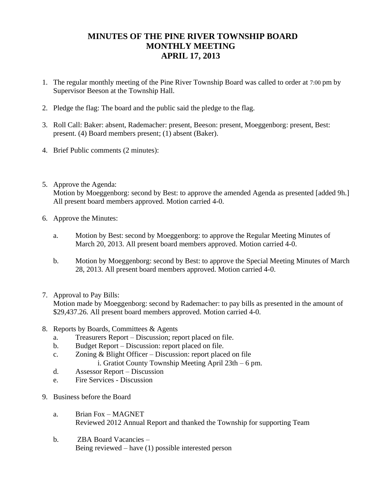## **MINUTES OF THE PINE RIVER TOWNSHIP BOARD MONTHLY MEETING APRIL 17, 2013**

- 1. The regular monthly meeting of the Pine River Township Board was called to order at 7:00 pm by Supervisor Beeson at the Township Hall.
- 2. Pledge the flag: The board and the public said the pledge to the flag.
- 3. Roll Call: Baker: absent, Rademacher: present, Beeson: present, Moeggenborg: present, Best: present. (4) Board members present; (1) absent (Baker).
- 4. Brief Public comments (2 minutes):
- 5. Approve the Agenda: Motion by Moeggenborg: second by Best: to approve the amended Agenda as presented [added 9h.] All present board members approved. Motion carried 4-0.
- 6. Approve the Minutes:
	- a. Motion by Best: second by Moeggenborg: to approve the Regular Meeting Minutes of March 20, 2013. All present board members approved. Motion carried 4-0.
	- b. Motion by Moeggenborg: second by Best: to approve the Special Meeting Minutes of March 28, 2013. All present board members approved. Motion carried 4-0.
- 7. Approval to Pay Bills: Motion made by Moeggenborg: second by Rademacher: to pay bills as presented in the amount of \$29,437.26. All present board members approved. Motion carried 4-0.
- 8. Reports by Boards, Committees & Agents
	- a. Treasurers Report Discussion; report placed on file.
	- b. Budget Report Discussion: report placed on file.
	- c. Zoning & Blight Officer Discussion: report placed on file
		- i. Gratiot County Township Meeting April 23th 6 pm.
	- d. Assessor Report Discussion
	- e. Fire Services Discussion
- 9. Business before the Board
	- a. Brian Fox MAGNET Reviewed 2012 Annual Report and thanked the Township for supporting Team
	- b. ZBA Board Vacancies Being reviewed – have (1) possible interested person